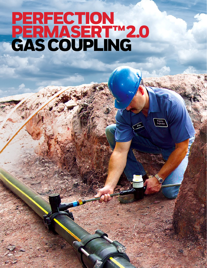# PERFECTION. PERMASERT™ 2.0 GAS COUPLING